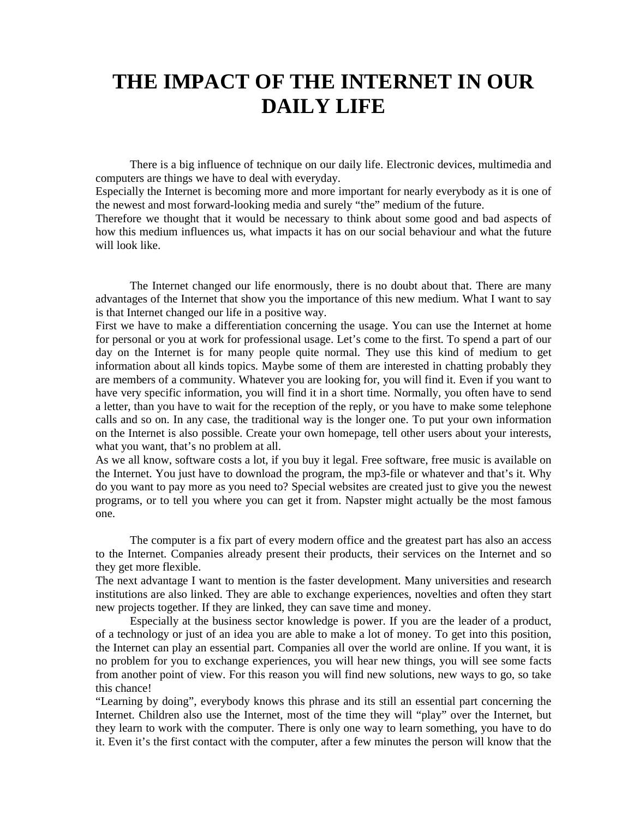## **THE IMPACT OF THE INTERNET IN OUR DAILY LIFE**

 There is a big influence of technique on our daily life. Electronic devices, multimedia and computers are things we have to deal with everyday.

Especially the Internet is becoming more and more important for nearly everybody as it is one of the newest and most forward-looking media and surely "the" medium of the future.

Therefore we thought that it would be necessary to think about some good and bad aspects of how this medium influences us, what impacts it has on our social behaviour and what the future will look like.

 The Internet changed our life enormously, there is no doubt about that. There are many advantages of the Internet that show you the importance of this new medium. What I want to say is that Internet changed our life in a positive way.

First we have to make a differentiation concerning the usage. You can use the Internet at home for personal or you at work for professional usage. Let's come to the first. To spend a part of our day on the Internet is for many people quite normal. They use this kind of medium to get information about all kinds topics. Maybe some of them are interested in chatting probably they are members of a community. Whatever you are looking for, you will find it. Even if you want to have very specific information, you will find it in a short time. Normally, you often have to send a letter, than you have to wait for the reception of the reply, or you have to make some telephone calls and so on. In any case, the traditional way is the longer one. To put your own information on the Internet is also possible. Create your own homepage, tell other users about your interests, what you want, that's no problem at all.

As we all know, software costs a lot, if you buy it legal. Free software, free music is available on the Internet. You just have to download the program, the mp3-file or whatever and that's it. Why do you want to pay more as you need to? Special websites are created just to give you the newest programs, or to tell you where you can get it from. Napster might actually be the most famous one.

 The computer is a fix part of every modern office and the greatest part has also an access to the Internet. Companies already present their products, their services on the Internet and so they get more flexible.

The next advantage I want to mention is the faster development. Many universities and research institutions are also linked. They are able to exchange experiences, novelties and often they start new projects together. If they are linked, they can save time and money.

 Especially at the business sector knowledge is power. If you are the leader of a product, of a technology or just of an idea you are able to make a lot of money. To get into this position, the Internet can play an essential part. Companies all over the world are online. If you want, it is no problem for you to exchange experiences, you will hear new things, you will see some facts from another point of view. For this reason you will find new solutions, new ways to go, so take this chance!

"Learning by doing", everybody knows this phrase and its still an essential part concerning the Internet. Children also use the Internet, most of the time they will "play" over the Internet, but they learn to work with the computer. There is only one way to learn something, you have to do it. Even it's the first contact with the computer, after a few minutes the person will know that the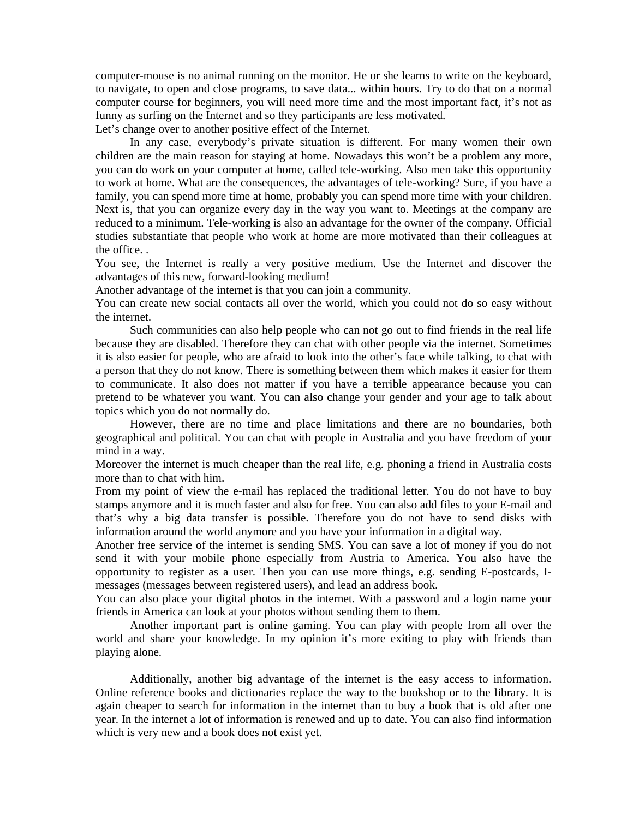computer-mouse is no animal running on the monitor. He or she learns to write on the keyboard, to navigate, to open and close programs, to save data... within hours. Try to do that on a normal computer course for beginners, you will need more time and the most important fact, it's not as funny as surfing on the Internet and so they participants are less motivated.

Let's change over to another positive effect of the Internet.

 In any case, everybody's private situation is different. For many women their own children are the main reason for staying at home. Nowadays this won't be a problem any more, you can do work on your computer at home, called tele-working. Also men take this opportunity to work at home. What are the consequences, the advantages of tele-working? Sure, if you have a family, you can spend more time at home, probably you can spend more time with your children. Next is, that you can organize every day in the way you want to. Meetings at the company are reduced to a minimum. Tele-working is also an advantage for the owner of the company. Official studies substantiate that people who work at home are more motivated than their colleagues at the office. .

You see, the Internet is really a very positive medium. Use the Internet and discover the advantages of this new, forward-looking medium!

Another advantage of the internet is that you can join a community.

You can create new social contacts all over the world, which you could not do so easy without the internet.

 Such communities can also help people who can not go out to find friends in the real life because they are disabled. Therefore they can chat with other people via the internet. Sometimes it is also easier for people, who are afraid to look into the other's face while talking, to chat with a person that they do not know. There is something between them which makes it easier for them to communicate. It also does not matter if you have a terrible appearance because you can pretend to be whatever you want. You can also change your gender and your age to talk about topics which you do not normally do.

 However, there are no time and place limitations and there are no boundaries, both geographical and political. You can chat with people in Australia and you have freedom of your mind in a way.

Moreover the internet is much cheaper than the real life, e.g. phoning a friend in Australia costs more than to chat with him.

From my point of view the e-mail has replaced the traditional letter. You do not have to buy stamps anymore and it is much faster and also for free. You can also add files to your E-mail and that's why a big data transfer is possible. Therefore you do not have to send disks with information around the world anymore and you have your information in a digital way.

Another free service of the internet is sending SMS. You can save a lot of money if you do not send it with your mobile phone especially from Austria to America. You also have the opportunity to register as a user. Then you can use more things, e.g. sending E-postcards, Imessages (messages between registered users), and lead an address book.

You can also place your digital photos in the internet. With a password and a login name your friends in America can look at your photos without sending them to them.

 Another important part is online gaming. You can play with people from all over the world and share your knowledge. In my opinion it's more exiting to play with friends than playing alone.

 Additionally, another big advantage of the internet is the easy access to information. Online reference books and dictionaries replace the way to the bookshop or to the library. It is again cheaper to search for information in the internet than to buy a book that is old after one year. In the internet a lot of information is renewed and up to date. You can also find information which is very new and a book does not exist yet.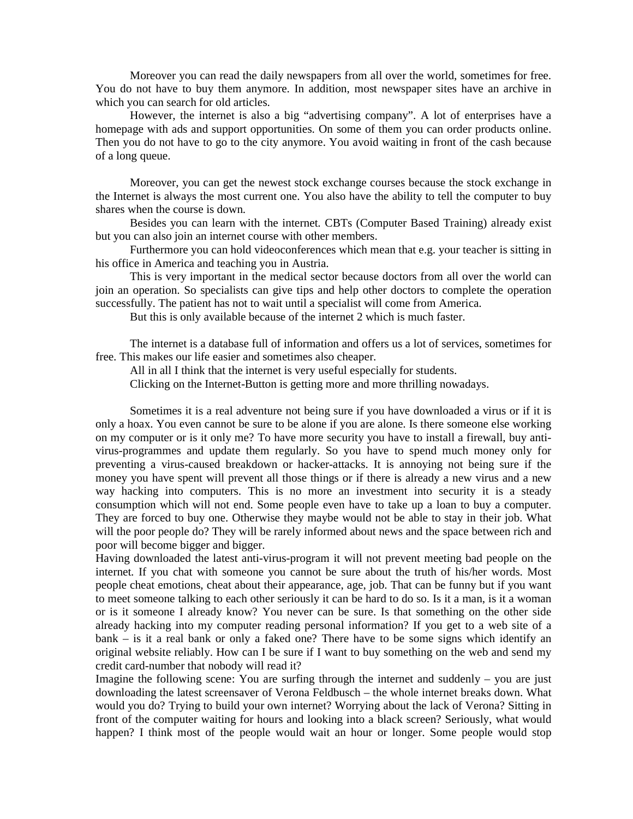Moreover you can read the daily newspapers from all over the world, sometimes for free. You do not have to buy them anymore. In addition, most newspaper sites have an archive in which you can search for old articles.

 However, the internet is also a big "advertising company". A lot of enterprises have a homepage with ads and support opportunities. On some of them you can order products online. Then you do not have to go to the city anymore. You avoid waiting in front of the cash because of a long queue.

 Moreover, you can get the newest stock exchange courses because the stock exchange in the Internet is always the most current one. You also have the ability to tell the computer to buy shares when the course is down.

 Besides you can learn with the internet. CBTs (Computer Based Training) already exist but you can also join an internet course with other members.

 Furthermore you can hold videoconferences which mean that e.g. your teacher is sitting in his office in America and teaching you in Austria.

 This is very important in the medical sector because doctors from all over the world can join an operation. So specialists can give tips and help other doctors to complete the operation successfully. The patient has not to wait until a specialist will come from America.

But this is only available because of the internet 2 which is much faster.

 The internet is a database full of information and offers us a lot of services, sometimes for free. This makes our life easier and sometimes also cheaper.

All in all I think that the internet is very useful especially for students.

Clicking on the Internet-Button is getting more and more thrilling nowadays.

 Sometimes it is a real adventure not being sure if you have downloaded a virus or if it is only a hoax. You even cannot be sure to be alone if you are alone. Is there someone else working on my computer or is it only me? To have more security you have to install a firewall, buy antivirus-programmes and update them regularly. So you have to spend much money only for preventing a virus-caused breakdown or hacker-attacks. It is annoying not being sure if the money you have spent will prevent all those things or if there is already a new virus and a new way hacking into computers. This is no more an investment into security it is a steady consumption which will not end. Some people even have to take up a loan to buy a computer. They are forced to buy one. Otherwise they maybe would not be able to stay in their job. What will the poor people do? They will be rarely informed about news and the space between rich and poor will become bigger and bigger.

Having downloaded the latest anti-virus-program it will not prevent meeting bad people on the internet. If you chat with someone you cannot be sure about the truth of his/her words. Most people cheat emotions, cheat about their appearance, age, job. That can be funny but if you want to meet someone talking to each other seriously it can be hard to do so. Is it a man, is it a woman or is it someone I already know? You never can be sure. Is that something on the other side already hacking into my computer reading personal information? If you get to a web site of a bank – is it a real bank or only a faked one? There have to be some signs which identify an original website reliably. How can I be sure if I want to buy something on the web and send my credit card-number that nobody will read it?

Imagine the following scene: You are surfing through the internet and suddenly – you are just downloading the latest screensaver of Verona Feldbusch – the whole internet breaks down. What would you do? Trying to build your own internet? Worrying about the lack of Verona? Sitting in front of the computer waiting for hours and looking into a black screen? Seriously, what would happen? I think most of the people would wait an hour or longer. Some people would stop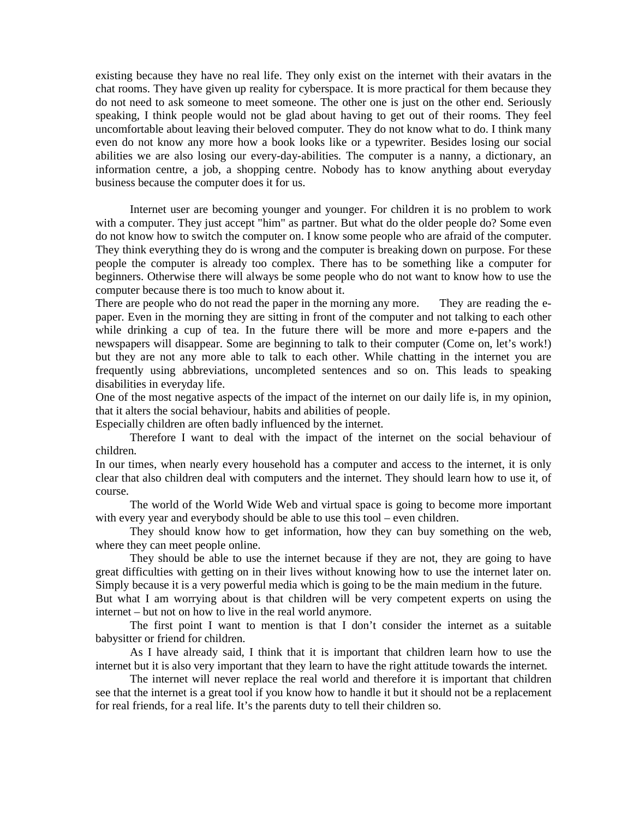existing because they have no real life. They only exist on the internet with their avatars in the chat rooms. They have given up reality for cyberspace. It is more practical for them because they do not need to ask someone to meet someone. The other one is just on the other end. Seriously speaking, I think people would not be glad about having to get out of their rooms. They feel uncomfortable about leaving their beloved computer. They do not know what to do. I think many even do not know any more how a book looks like or a typewriter. Besides losing our social abilities we are also losing our every-day-abilities. The computer is a nanny, a dictionary, an information centre, a job, a shopping centre. Nobody has to know anything about everyday business because the computer does it for us.

 Internet user are becoming younger and younger. For children it is no problem to work with a computer. They just accept "him" as partner. But what do the older people do? Some even do not know how to switch the computer on. I know some people who are afraid of the computer. They think everything they do is wrong and the computer is breaking down on purpose. For these people the computer is already too complex. There has to be something like a computer for beginners. Otherwise there will always be some people who do not want to know how to use the computer because there is too much to know about it.

There are people who do not read the paper in the morning any more. They are reading the epaper. Even in the morning they are sitting in front of the computer and not talking to each other while drinking a cup of tea. In the future there will be more and more e-papers and the newspapers will disappear. Some are beginning to talk to their computer (Come on, let's work!) but they are not any more able to talk to each other. While chatting in the internet you are frequently using abbreviations, uncompleted sentences and so on. This leads to speaking disabilities in everyday life.

One of the most negative aspects of the impact of the internet on our daily life is, in my opinion, that it alters the social behaviour, habits and abilities of people.

Especially children are often badly influenced by the internet.

 Therefore I want to deal with the impact of the internet on the social behaviour of children.

In our times, when nearly every household has a computer and access to the internet, it is only clear that also children deal with computers and the internet. They should learn how to use it, of course.

 The world of the World Wide Web and virtual space is going to become more important with every year and everybody should be able to use this tool – even children.

 They should know how to get information, how they can buy something on the web, where they can meet people online.

 They should be able to use the internet because if they are not, they are going to have great difficulties with getting on in their lives without knowing how to use the internet later on. Simply because it is a very powerful media which is going to be the main medium in the future.

But what I am worrying about is that children will be very competent experts on using the internet – but not on how to live in the real world anymore.

 The first point I want to mention is that I don't consider the internet as a suitable babysitter or friend for children.

 As I have already said, I think that it is important that children learn how to use the internet but it is also very important that they learn to have the right attitude towards the internet.

 The internet will never replace the real world and therefore it is important that children see that the internet is a great tool if you know how to handle it but it should not be a replacement for real friends, for a real life. It's the parents duty to tell their children so.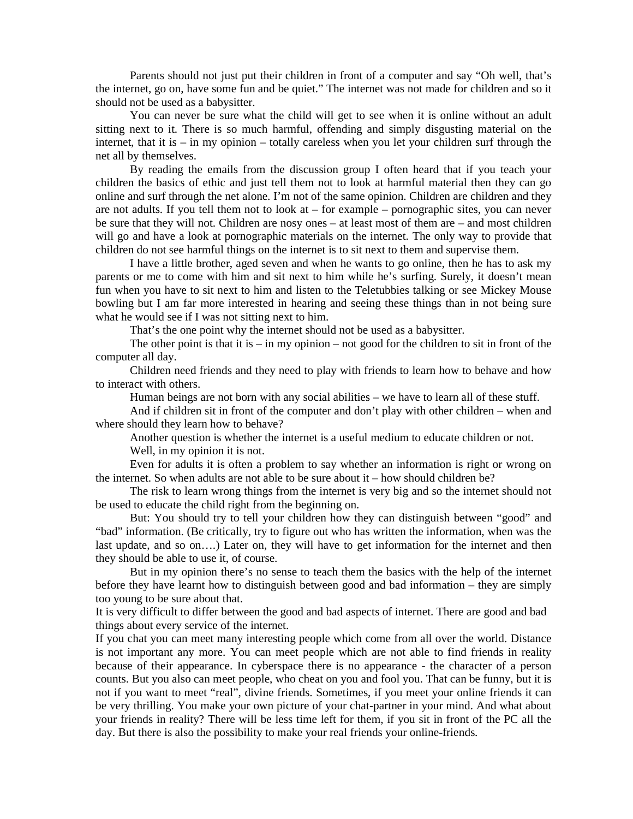Parents should not just put their children in front of a computer and say "Oh well, that's the internet, go on, have some fun and be quiet." The internet was not made for children and so it should not be used as a babysitter.

 You can never be sure what the child will get to see when it is online without an adult sitting next to it. There is so much harmful, offending and simply disgusting material on the internet, that it is – in my opinion – totally careless when you let your children surf through the net all by themselves.

 By reading the emails from the discussion group I often heard that if you teach your children the basics of ethic and just tell them not to look at harmful material then they can go online and surf through the net alone. I'm not of the same opinion. Children are children and they are not adults. If you tell them not to look at – for example – pornographic sites, you can never be sure that they will not. Children are nosy ones – at least most of them are – and most children will go and have a look at pornographic materials on the internet. The only way to provide that children do not see harmful things on the internet is to sit next to them and supervise them.

 I have a little brother, aged seven and when he wants to go online, then he has to ask my parents or me to come with him and sit next to him while he's surfing. Surely, it doesn't mean fun when you have to sit next to him and listen to the Teletubbies talking or see Mickey Mouse bowling but I am far more interested in hearing and seeing these things than in not being sure what he would see if I was not sitting next to him.

That's the one point why the internet should not be used as a babysitter.

The other point is that it is  $-$  in my opinion  $-$  not good for the children to sit in front of the computer all day.

 Children need friends and they need to play with friends to learn how to behave and how to interact with others.

Human beings are not born with any social abilities – we have to learn all of these stuff.

 And if children sit in front of the computer and don't play with other children – when and where should they learn how to behave?

 Another question is whether the internet is a useful medium to educate children or not. Well, in my opinion it is not.

 Even for adults it is often a problem to say whether an information is right or wrong on the internet. So when adults are not able to be sure about it – how should children be?

 The risk to learn wrong things from the internet is very big and so the internet should not be used to educate the child right from the beginning on.

 But: You should try to tell your children how they can distinguish between "good" and "bad" information. (Be critically, try to figure out who has written the information, when was the last update, and so on….) Later on, they will have to get information for the internet and then they should be able to use it, of course.

 But in my opinion there's no sense to teach them the basics with the help of the internet before they have learnt how to distinguish between good and bad information – they are simply too young to be sure about that.

It is very difficult to differ between the good and bad aspects of internet. There are good and bad things about every service of the internet.

If you chat you can meet many interesting people which come from all over the world. Distance is not important any more. You can meet people which are not able to find friends in reality because of their appearance. In cyberspace there is no appearance - the character of a person counts. But you also can meet people, who cheat on you and fool you. That can be funny, but it is not if you want to meet "real", divine friends. Sometimes, if you meet your online friends it can be very thrilling. You make your own picture of your chat-partner in your mind. And what about your friends in reality? There will be less time left for them, if you sit in front of the PC all the day. But there is also the possibility to make your real friends your online-friends.